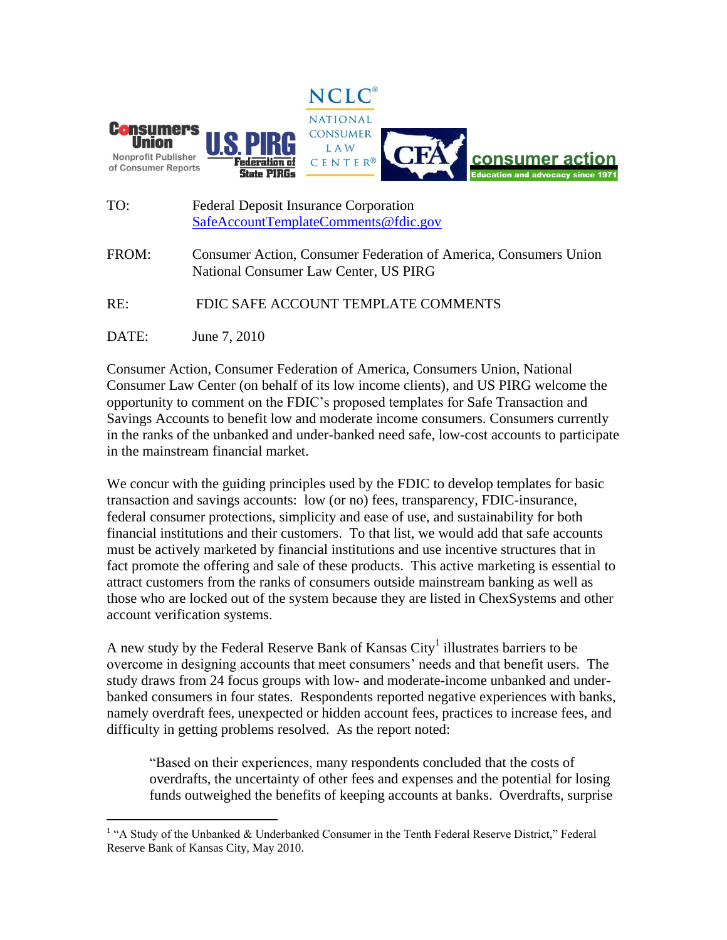

- TO: Federal Deposit Insurance Corporation [SafeAccountTemplateComments@fdic.gov](mailto:SafeAccountTemplateComments@fdic.gov)
- FROM: Consumer Action, Consumer Federation of America, Consumers Union National Consumer Law Center, US PIRG

RE: FDIC SAFE ACCOUNT TEMPLATE COMMENTS

DATE: June 7, 2010

 $\overline{a}$ 

Consumer Action, Consumer Federation of America, Consumers Union, National Consumer Law Center (on behalf of its low income clients), and US PIRG welcome the opportunity to comment on the FDIC's proposed templates for Safe Transaction and Savings Accounts to benefit low and moderate income consumers. Consumers currently in the ranks of the unbanked and under-banked need safe, low-cost accounts to participate in the mainstream financial market.

We concur with the guiding principles used by the FDIC to develop templates for basic transaction and savings accounts: low (or no) fees, transparency, FDIC-insurance, federal consumer protections, simplicity and ease of use, and sustainability for both financial institutions and their customers. To that list, we would add that safe accounts must be actively marketed by financial institutions and use incentive structures that in fact promote the offering and sale of these products. This active marketing is essential to attract customers from the ranks of consumers outside mainstream banking as well as those who are locked out of the system because they are listed in ChexSystems and other account verification systems.

A new study by the Federal Reserve Bank of Kansas  $\mathrm{City}^1$  illustrates barriers to be overcome in designing accounts that meet consumers' needs and that benefit users. The study draws from 24 focus groups with low- and moderate-income unbanked and underbanked consumers in four states. Respondents reported negative experiences with banks, namely overdraft fees, unexpected or hidden account fees, practices to increase fees, and difficulty in getting problems resolved. As the report noted:

"Based on their experiences, many respondents concluded that the costs of overdrafts, the uncertainty of other fees and expenses and the potential for losing funds outweighed the benefits of keeping accounts at banks. Overdrafts, surprise

<sup>&</sup>lt;sup>1</sup> "A Study of the Unbanked & Underbanked Consumer in the Tenth Federal Reserve District," Federal Reserve Bank of Kansas City, May 2010.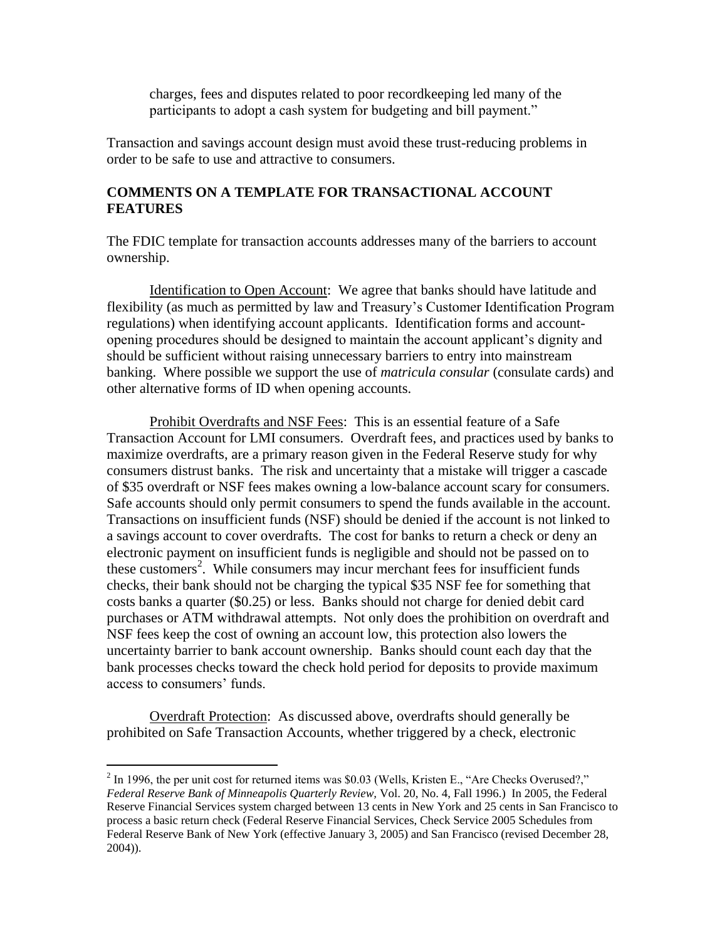charges, fees and disputes related to poor recordkeeping led many of the participants to adopt a cash system for budgeting and bill payment."

Transaction and savings account design must avoid these trust-reducing problems in order to be safe to use and attractive to consumers.

## **COMMENTS ON A TEMPLATE FOR TRANSACTIONAL ACCOUNT FEATURES**

The FDIC template for transaction accounts addresses many of the barriers to account ownership.

Identification to Open Account: We agree that banks should have latitude and flexibility (as much as permitted by law and Treasury's Customer Identification Program regulations) when identifying account applicants. Identification forms and accountopening procedures should be designed to maintain the account applicant's dignity and should be sufficient without raising unnecessary barriers to entry into mainstream banking. Where possible we support the use of *matricula consular* (consulate cards) and other alternative forms of ID when opening accounts.

Prohibit Overdrafts and NSF Fees: This is an essential feature of a Safe Transaction Account for LMI consumers. Overdraft fees, and practices used by banks to maximize overdrafts, are a primary reason given in the Federal Reserve study for why consumers distrust banks. The risk and uncertainty that a mistake will trigger a cascade of \$35 overdraft or NSF fees makes owning a low-balance account scary for consumers. Safe accounts should only permit consumers to spend the funds available in the account. Transactions on insufficient funds (NSF) should be denied if the account is not linked to a savings account to cover overdrafts. The cost for banks to return a check or deny an electronic payment on insufficient funds is negligible and should not be passed on to these customers<sup>2</sup>. While consumers may incur merchant fees for insufficient funds checks, their bank should not be charging the typical \$35 NSF fee for something that costs banks a quarter (\$0.25) or less. Banks should not charge for denied debit card purchases or ATM withdrawal attempts. Not only does the prohibition on overdraft and NSF fees keep the cost of owning an account low, this protection also lowers the uncertainty barrier to bank account ownership. Banks should count each day that the bank processes checks toward the check hold period for deposits to provide maximum access to consumers' funds.

Overdraft Protection: As discussed above, overdrafts should generally be prohibited on Safe Transaction Accounts, whether triggered by a check, electronic

 $\overline{a}$ 

 $2 \text{ In } 1996$ , the per unit cost for returned items was \$0.03 (Wells, Kristen E., "Are Checks Overused?," *Federal Reserve Bank of Minneapolis Quarterly Review,* Vol. 20, No. 4, Fall 1996.) In 2005, the Federal Reserve Financial Services system charged between 13 cents in New York and 25 cents in San Francisco to process a basic return check (Federal Reserve Financial Services, Check Service 2005 Schedules from Federal Reserve Bank of New York (effective January 3, 2005) and San Francisco (revised December 28, 2004)).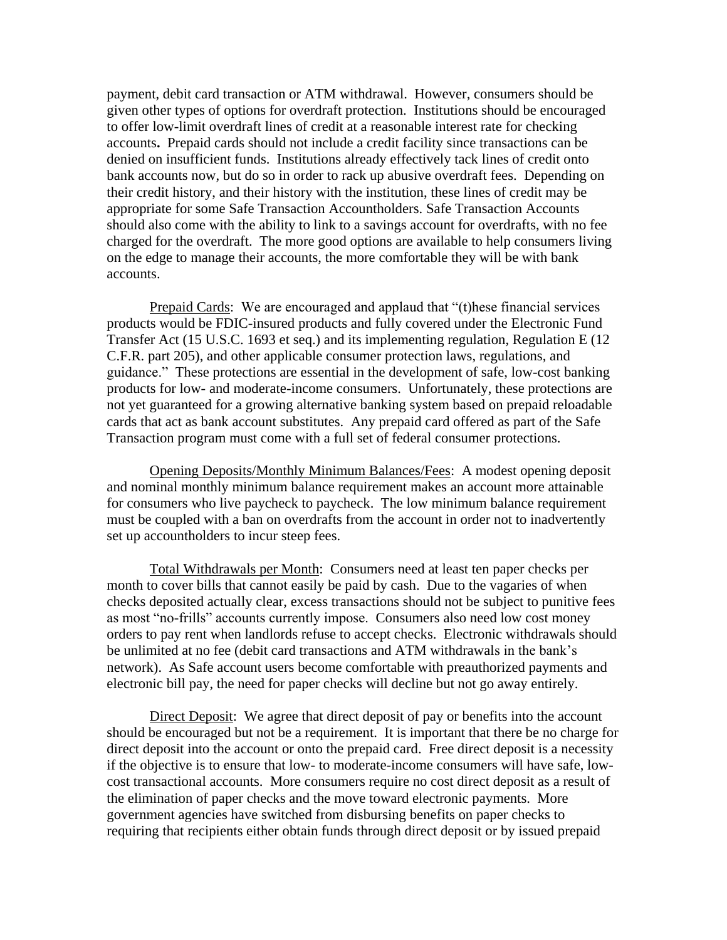payment, debit card transaction or ATM withdrawal. However, consumers should be given other types of options for overdraft protection. Institutions should be encouraged to offer low-limit overdraft lines of credit at a reasonable interest rate for checking accounts**.** Prepaid cards should not include a credit facility since transactions can be denied on insufficient funds.Institutions already effectively tack lines of credit onto bank accounts now, but do so in order to rack up abusive overdraft fees. Depending on their credit history, and their history with the institution, these lines of credit may be appropriate for some Safe Transaction Accountholders. Safe Transaction Accounts should also come with the ability to link to a savings account for overdrafts, with no fee charged for the overdraft. The more good options are available to help consumers living on the edge to manage their accounts, the more comfortable they will be with bank accounts.

Prepaid Cards: We are encouraged and applaud that "(t) hese financial services products would be FDIC-insured products and fully covered under the Electronic Fund Transfer Act (15 U.S.C. 1693 et seq.) and its implementing regulation, Regulation E (12 C.F.R. part 205), and other applicable consumer protection laws, regulations, and guidance." These protections are essential in the development of safe, low-cost banking products for low- and moderate-income consumers. Unfortunately, these protections are not yet guaranteed for a growing alternative banking system based on prepaid reloadable cards that act as bank account substitutes. Any prepaid card offered as part of the Safe Transaction program must come with a full set of federal consumer protections.

Opening Deposits/Monthly Minimum Balances/Fees: A modest opening deposit and nominal monthly minimum balance requirement makes an account more attainable for consumers who live paycheck to paycheck. The low minimum balance requirement must be coupled with a ban on overdrafts from the account in order not to inadvertently set up accountholders to incur steep fees.

Total Withdrawals per Month: Consumers need at least ten paper checks per month to cover bills that cannot easily be paid by cash. Due to the vagaries of when checks deposited actually clear, excess transactions should not be subject to punitive fees as most "no-frills" accounts currently impose. Consumers also need low cost money orders to pay rent when landlords refuse to accept checks. Electronic withdrawals should be unlimited at no fee (debit card transactions and ATM withdrawals in the bank's network). As Safe account users become comfortable with preauthorized payments and electronic bill pay, the need for paper checks will decline but not go away entirely.

Direct Deposit: We agree that direct deposit of pay or benefits into the account should be encouraged but not be a requirement. It is important that there be no charge for direct deposit into the account or onto the prepaid card. Free direct deposit is a necessity if the objective is to ensure that low- to moderate-income consumers will have safe, lowcost transactional accounts. More consumers require no cost direct deposit as a result of the elimination of paper checks and the move toward electronic payments. More government agencies have switched from disbursing benefits on paper checks to requiring that recipients either obtain funds through direct deposit or by issued prepaid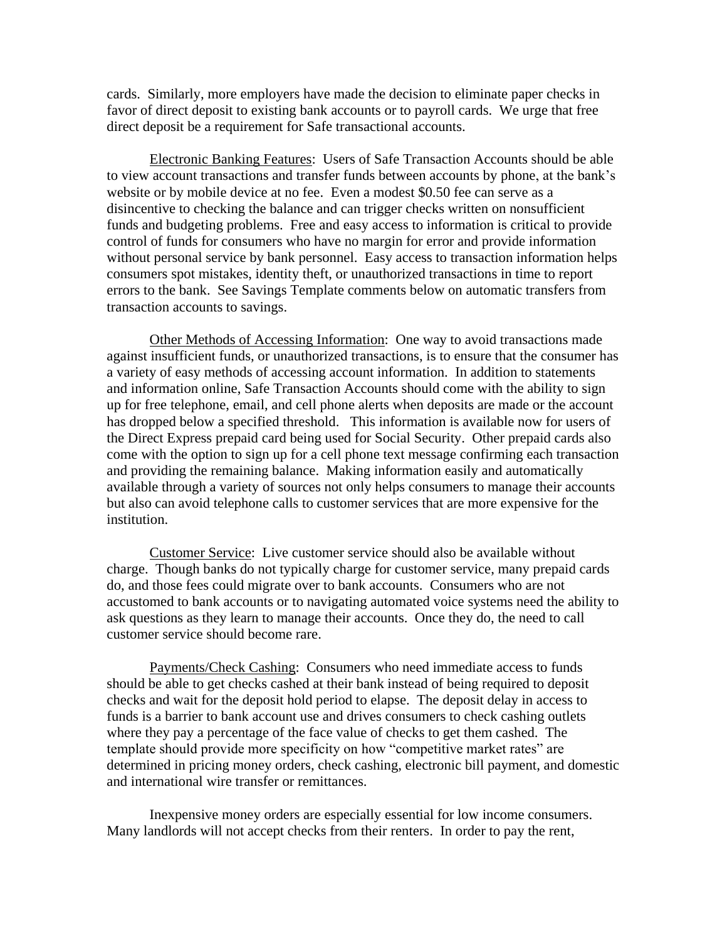cards. Similarly, more employers have made the decision to eliminate paper checks in favor of direct deposit to existing bank accounts or to payroll cards. We urge that free direct deposit be a requirement for Safe transactional accounts.

Electronic Banking Features: Users of Safe Transaction Accounts should be able to view account transactions and transfer funds between accounts by phone, at the bank's website or by mobile device at no fee. Even a modest \$0.50 fee can serve as a disincentive to checking the balance and can trigger checks written on nonsufficient funds and budgeting problems. Free and easy access to information is critical to provide control of funds for consumers who have no margin for error and provide information without personal service by bank personnel. Easy access to transaction information helps consumers spot mistakes, identity theft, or unauthorized transactions in time to report errors to the bank. See Savings Template comments below on automatic transfers from transaction accounts to savings.

Other Methods of Accessing Information: One way to avoid transactions made against insufficient funds, or unauthorized transactions, is to ensure that the consumer has a variety of easy methods of accessing account information. In addition to statements and information online, Safe Transaction Accounts should come with the ability to sign up for free telephone, email, and cell phone alerts when deposits are made or the account has dropped below a specified threshold. This information is available now for users of the Direct Express prepaid card being used for Social Security. Other prepaid cards also come with the option to sign up for a cell phone text message confirming each transaction and providing the remaining balance. Making information easily and automatically available through a variety of sources not only helps consumers to manage their accounts but also can avoid telephone calls to customer services that are more expensive for the institution.

Customer Service: Live customer service should also be available without charge. Though banks do not typically charge for customer service, many prepaid cards do, and those fees could migrate over to bank accounts. Consumers who are not accustomed to bank accounts or to navigating automated voice systems need the ability to ask questions as they learn to manage their accounts. Once they do, the need to call customer service should become rare.

Payments/Check Cashing: Consumers who need immediate access to funds should be able to get checks cashed at their bank instead of being required to deposit checks and wait for the deposit hold period to elapse. The deposit delay in access to funds is a barrier to bank account use and drives consumers to check cashing outlets where they pay a percentage of the face value of checks to get them cashed. The template should provide more specificity on how "competitive market rates" are determined in pricing money orders, check cashing, electronic bill payment, and domestic and international wire transfer or remittances.

Inexpensive money orders are especially essential for low income consumers. Many landlords will not accept checks from their renters. In order to pay the rent,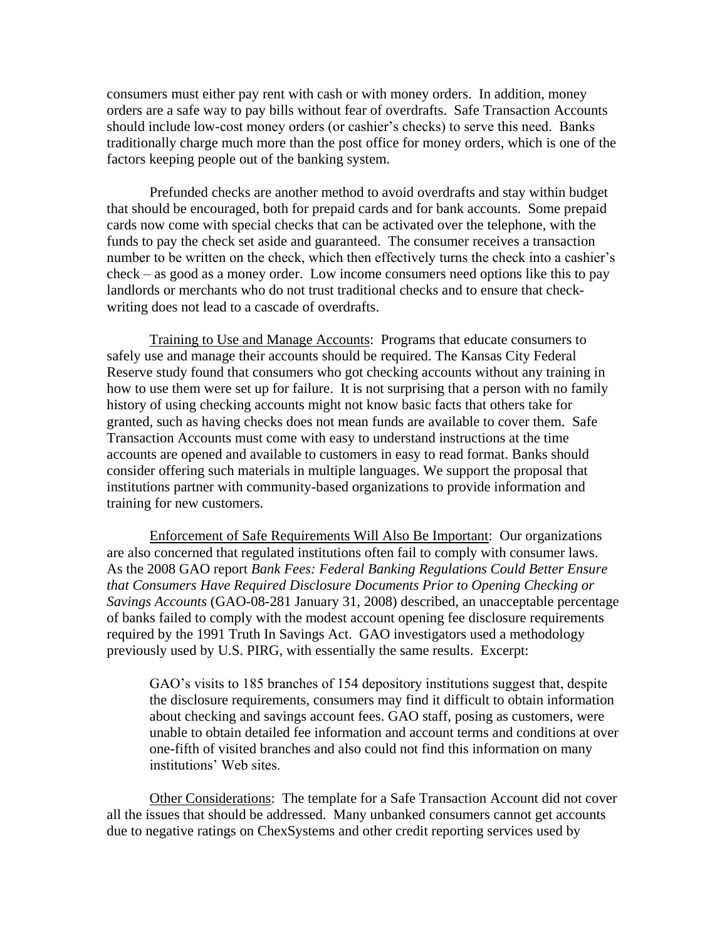consumers must either pay rent with cash or with money orders. In addition, money orders are a safe way to pay bills without fear of overdrafts. Safe Transaction Accounts should include low-cost money orders (or cashier's checks) to serve this need. Banks traditionally charge much more than the post office for money orders, which is one of the factors keeping people out of the banking system.

Prefunded checks are another method to avoid overdrafts and stay within budget that should be encouraged, both for prepaid cards and for bank accounts. Some prepaid cards now come with special checks that can be activated over the telephone, with the funds to pay the check set aside and guaranteed. The consumer receives a transaction number to be written on the check, which then effectively turns the check into a cashier's check – as good as a money order. Low income consumers need options like this to pay landlords or merchants who do not trust traditional checks and to ensure that checkwriting does not lead to a cascade of overdrafts.

Training to Use and Manage Accounts: Programs that educate consumers to safely use and manage their accounts should be required. The Kansas City Federal Reserve study found that consumers who got checking accounts without any training in how to use them were set up for failure. It is not surprising that a person with no family history of using checking accounts might not know basic facts that others take for granted, such as having checks does not mean funds are available to cover them. Safe Transaction Accounts must come with easy to understand instructions at the time accounts are opened and available to customers in easy to read format. Banks should consider offering such materials in multiple languages. We support the proposal that institutions partner with community-based organizations to provide information and training for new customers.

Enforcement of Safe Requirements Will Also Be Important: Our organizations are also concerned that regulated institutions often fail to comply with consumer laws. As the 2008 GAO report *Bank Fees: Federal Banking Regulations Could Better Ensure that Consumers Have Required Disclosure Documents Prior to Opening Checking or Savings Accounts* (GAO-08-281 January 31, 2008) described, an unacceptable percentage of banks failed to comply with the modest account opening fee disclosure requirements required by the 1991 Truth In Savings Act. GAO investigators used a methodology previously used by U.S. PIRG, with essentially the same results. Excerpt:

GAO's visits to 185 branches of 154 depository institutions suggest that, despite the disclosure requirements, consumers may find it difficult to obtain information about checking and savings account fees. GAO staff, posing as customers, were unable to obtain detailed fee information and account terms and conditions at over one-fifth of visited branches and also could not find this information on many institutions' Web sites.

Other Considerations: The template for a Safe Transaction Account did not cover all the issues that should be addressed. Many unbanked consumers cannot get accounts due to negative ratings on ChexSystems and other credit reporting services used by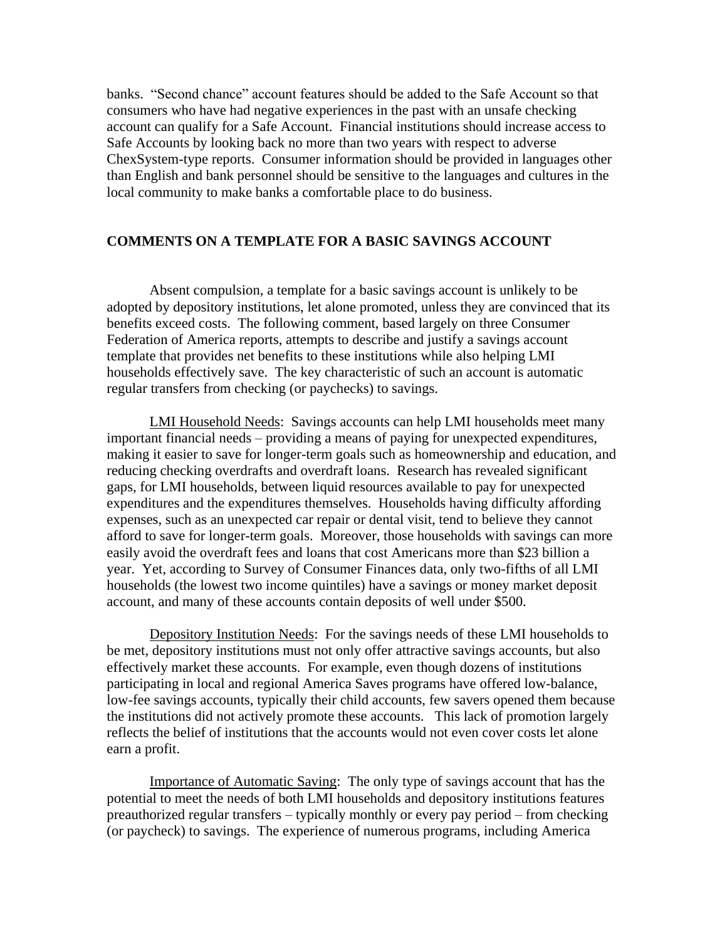banks. "Second chance" account features should be added to the Safe Account so that consumers who have had negative experiences in the past with an unsafe checking account can qualify for a Safe Account. Financial institutions should increase access to Safe Accounts by looking back no more than two years with respect to adverse ChexSystem-type reports. Consumer information should be provided in languages other than English and bank personnel should be sensitive to the languages and cultures in the local community to make banks a comfortable place to do business.

## **COMMENTS ON A TEMPLATE FOR A BASIC SAVINGS ACCOUNT**

Absent compulsion, a template for a basic savings account is unlikely to be adopted by depository institutions, let alone promoted, unless they are convinced that its benefits exceed costs. The following comment, based largely on three Consumer Federation of America reports, attempts to describe and justify a savings account template that provides net benefits to these institutions while also helping LMI households effectively save. The key characteristic of such an account is automatic regular transfers from checking (or paychecks) to savings.

LMI Household Needs: Savings accounts can help LMI households meet many important financial needs – providing a means of paying for unexpected expenditures, making it easier to save for longer-term goals such as homeownership and education, and reducing checking overdrafts and overdraft loans. Research has revealed significant gaps, for LMI households, between liquid resources available to pay for unexpected expenditures and the expenditures themselves. Households having difficulty affording expenses, such as an unexpected car repair or dental visit, tend to believe they cannot afford to save for longer-term goals. Moreover, those households with savings can more easily avoid the overdraft fees and loans that cost Americans more than \$23 billion a year. Yet, according to Survey of Consumer Finances data, only two-fifths of all LMI households (the lowest two income quintiles) have a savings or money market deposit account, and many of these accounts contain deposits of well under \$500.

Depository Institution Needs: For the savings needs of these LMI households to be met, depository institutions must not only offer attractive savings accounts, but also effectively market these accounts. For example, even though dozens of institutions participating in local and regional America Saves programs have offered low-balance, low-fee savings accounts, typically their child accounts, few savers opened them because the institutions did not actively promote these accounts. This lack of promotion largely reflects the belief of institutions that the accounts would not even cover costs let alone earn a profit.

Importance of Automatic Saving: The only type of savings account that has the potential to meet the needs of both LMI households and depository institutions features preauthorized regular transfers – typically monthly or every pay period – from checking (or paycheck) to savings. The experience of numerous programs, including America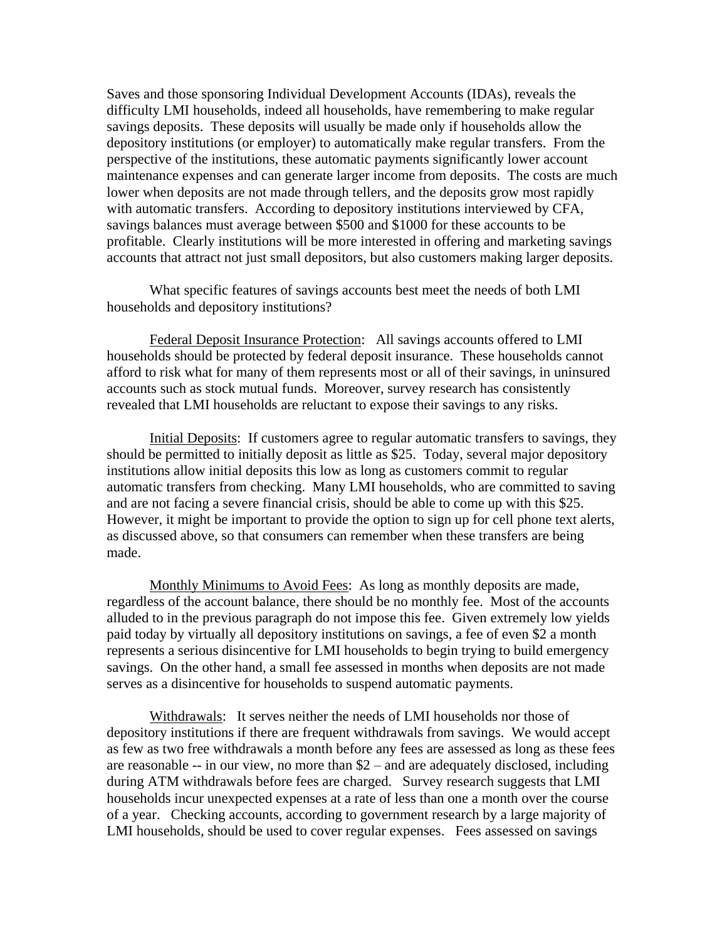Saves and those sponsoring Individual Development Accounts (IDAs), reveals the difficulty LMI households, indeed all households, have remembering to make regular savings deposits. These deposits will usually be made only if households allow the depository institutions (or employer) to automatically make regular transfers. From the perspective of the institutions, these automatic payments significantly lower account maintenance expenses and can generate larger income from deposits. The costs are much lower when deposits are not made through tellers, and the deposits grow most rapidly with automatic transfers. According to depository institutions interviewed by CFA, savings balances must average between \$500 and \$1000 for these accounts to be profitable. Clearly institutions will be more interested in offering and marketing savings accounts that attract not just small depositors, but also customers making larger deposits.

What specific features of savings accounts best meet the needs of both LMI households and depository institutions?

Federal Deposit Insurance Protection: All savings accounts offered to LMI households should be protected by federal deposit insurance. These households cannot afford to risk what for many of them represents most or all of their savings, in uninsured accounts such as stock mutual funds. Moreover, survey research has consistently revealed that LMI households are reluctant to expose their savings to any risks.

Initial Deposits: If customers agree to regular automatic transfers to savings, they should be permitted to initially deposit as little as \$25. Today, several major depository institutions allow initial deposits this low as long as customers commit to regular automatic transfers from checking. Many LMI households, who are committed to saving and are not facing a severe financial crisis, should be able to come up with this \$25. However, it might be important to provide the option to sign up for cell phone text alerts, as discussed above, so that consumers can remember when these transfers are being made.

Monthly Minimums to Avoid Fees: As long as monthly deposits are made, regardless of the account balance, there should be no monthly fee. Most of the accounts alluded to in the previous paragraph do not impose this fee. Given extremely low yields paid today by virtually all depository institutions on savings, a fee of even \$2 a month represents a serious disincentive for LMI households to begin trying to build emergency savings. On the other hand, a small fee assessed in months when deposits are not made serves as a disincentive for households to suspend automatic payments.

Withdrawals: It serves neither the needs of LMI households nor those of depository institutions if there are frequent withdrawals from savings. We would accept as few as two free withdrawals a month before any fees are assessed as long as these fees are reasonable -- in our view, no more than \$2 – and are adequately disclosed, including during ATM withdrawals before fees are charged. Survey research suggests that LMI households incur unexpected expenses at a rate of less than one a month over the course of a year. Checking accounts, according to government research by a large majority of LMI households, should be used to cover regular expenses. Fees assessed on savings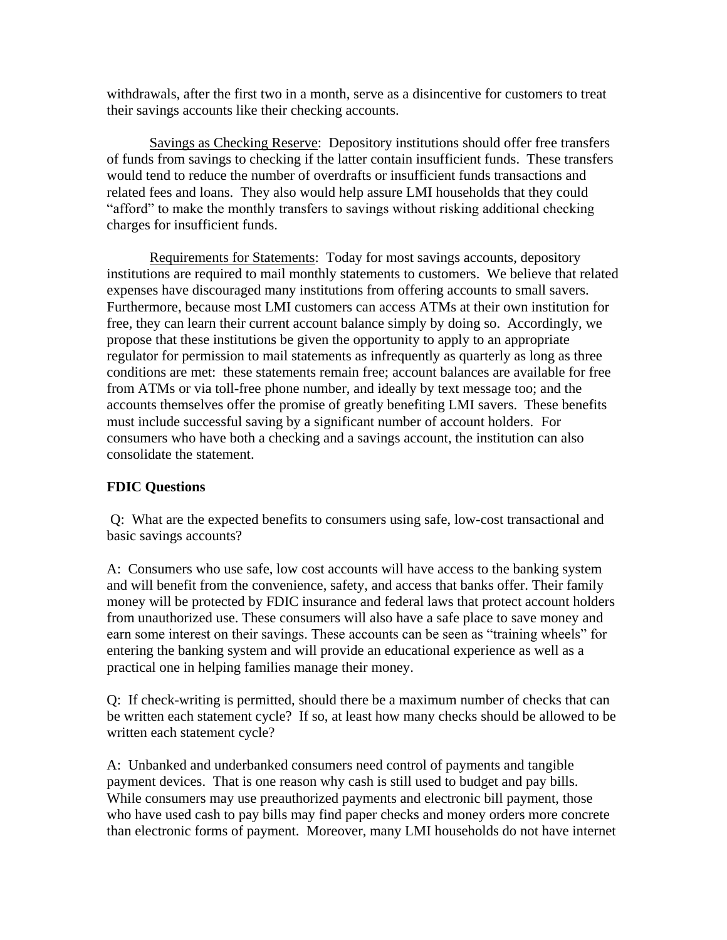withdrawals, after the first two in a month, serve as a disincentive for customers to treat their savings accounts like their checking accounts.

Savings as Checking Reserve: Depository institutions should offer free transfers of funds from savings to checking if the latter contain insufficient funds. These transfers would tend to reduce the number of overdrafts or insufficient funds transactions and related fees and loans. They also would help assure LMI households that they could "afford" to make the monthly transfers to savings without risking additional checking charges for insufficient funds.

Requirements for Statements: Today for most savings accounts, depository institutions are required to mail monthly statements to customers. We believe that related expenses have discouraged many institutions from offering accounts to small savers. Furthermore, because most LMI customers can access ATMs at their own institution for free, they can learn their current account balance simply by doing so. Accordingly, we propose that these institutions be given the opportunity to apply to an appropriate regulator for permission to mail statements as infrequently as quarterly as long as three conditions are met: these statements remain free; account balances are available for free from ATMs or via toll-free phone number, and ideally by text message too; and the accounts themselves offer the promise of greatly benefiting LMI savers. These benefits must include successful saving by a significant number of account holders. For consumers who have both a checking and a savings account, the institution can also consolidate the statement.

## **FDIC Questions**

Q: What are the expected benefits to consumers using safe, low-cost transactional and basic savings accounts?

A: Consumers who use safe, low cost accounts will have access to the banking system and will benefit from the convenience, safety, and access that banks offer. Their family money will be protected by FDIC insurance and federal laws that protect account holders from unauthorized use. These consumers will also have a safe place to save money and earn some interest on their savings. These accounts can be seen as "training wheels" for entering the banking system and will provide an educational experience as well as a practical one in helping families manage their money.

Q: If check-writing is permitted, should there be a maximum number of checks that can be written each statement cycle? If so, at least how many checks should be allowed to be written each statement cycle?

A: Unbanked and underbanked consumers need control of payments and tangible payment devices. That is one reason why cash is still used to budget and pay bills. While consumers may use preauthorized payments and electronic bill payment, those who have used cash to pay bills may find paper checks and money orders more concrete than electronic forms of payment. Moreover, many LMI households do not have internet